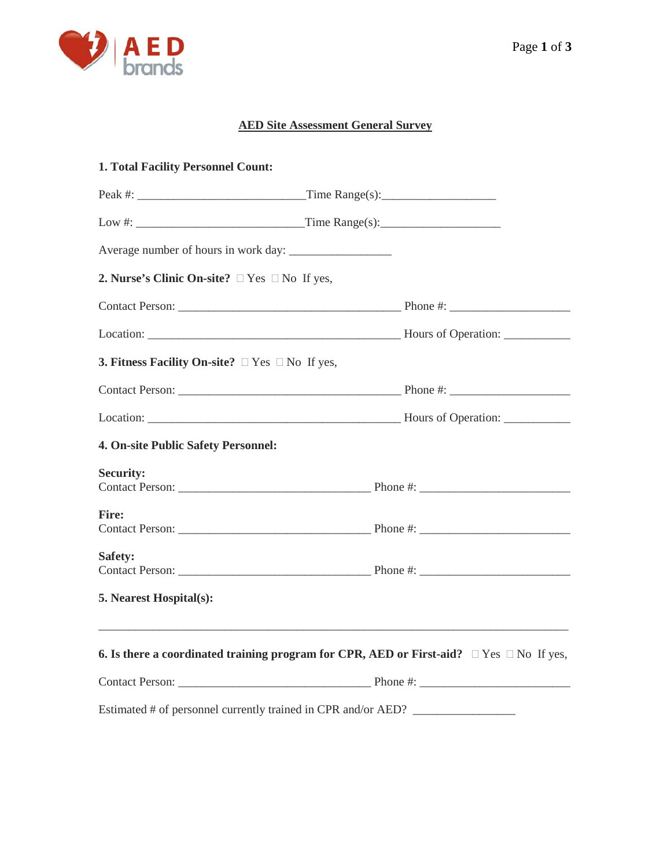

# **AED Site Assessment General Survey**

| 1. Total Facility Personnel Count:                               |                                                                                                    |
|------------------------------------------------------------------|----------------------------------------------------------------------------------------------------|
|                                                                  |                                                                                                    |
|                                                                  |                                                                                                    |
|                                                                  |                                                                                                    |
| 2. Nurse's Clinic On-site? $\Box$ Yes $\Box$ No If yes,          |                                                                                                    |
|                                                                  |                                                                                                    |
|                                                                  |                                                                                                    |
| <b>3. Fitness Facility On-site?</b> $\Box$ Yes $\Box$ No If yes, |                                                                                                    |
|                                                                  |                                                                                                    |
|                                                                  |                                                                                                    |
| 4. On-site Public Safety Personnel:                              |                                                                                                    |
| <b>Security:</b>                                                 |                                                                                                    |
| <b>Fire:</b>                                                     |                                                                                                    |
| Safety:                                                          |                                                                                                    |
| 5. Nearest Hospital(s):                                          |                                                                                                    |
|                                                                  | 6. Is there a coordinated training program for CPR, AED or First-aid? $\Box$ Yes $\Box$ No If yes, |
|                                                                  |                                                                                                    |
|                                                                  | Estimated # of personnel currently trained in CPR and/or AED?                                      |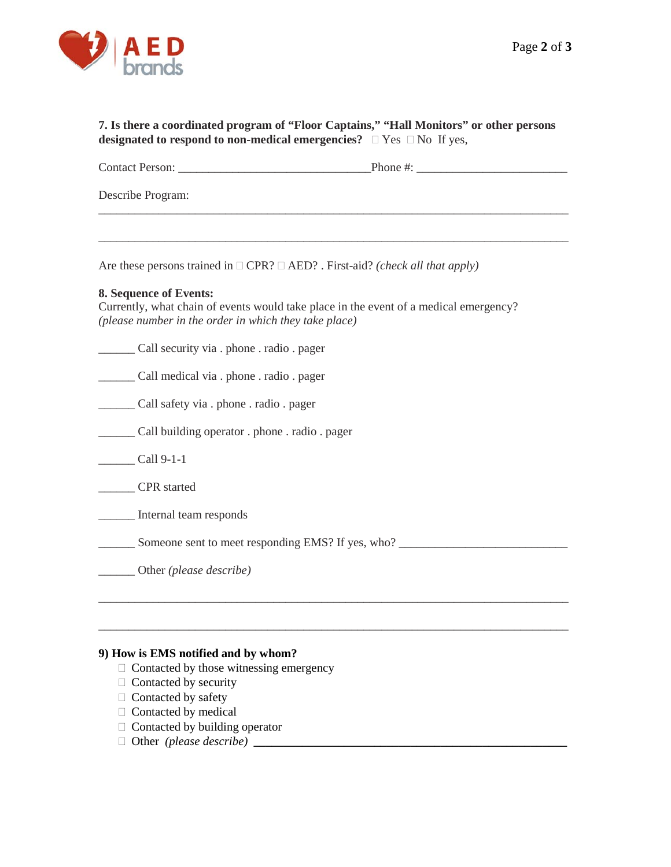

## **7. Is there a coordinated program of "Floor Captains," "Hall Monitors" or other persons designated to respond to non-medical emergencies?**  $\Box$  Yes  $\Box$  No If yes,

Contact Person: \_\_\_\_\_\_\_\_\_\_\_\_\_\_\_\_\_\_\_\_\_\_\_\_\_\_\_\_\_\_\_\_Phone #: \_\_\_\_\_\_\_\_\_\_\_\_\_\_\_\_\_\_\_\_\_\_\_\_\_

\_\_\_\_\_\_\_\_\_\_\_\_\_\_\_\_\_\_\_\_\_\_\_\_\_\_\_\_\_\_\_\_\_\_\_\_\_\_\_\_\_\_\_\_\_\_\_\_\_\_\_\_\_\_\_\_\_\_\_\_\_\_\_\_\_\_\_\_\_\_\_\_\_\_\_\_\_\_

\_\_\_\_\_\_\_\_\_\_\_\_\_\_\_\_\_\_\_\_\_\_\_\_\_\_\_\_\_\_\_\_\_\_\_\_\_\_\_\_\_\_\_\_\_\_\_\_\_\_\_\_\_\_\_\_\_\_\_\_\_\_\_\_\_\_\_\_\_\_\_\_\_\_\_\_\_\_

Describe Program:

Are these persons trained in  $\Box$  CPR?  $\Box$  AED? . First-aid? *(check all that apply)* 

#### **8. Sequence of Events:**

Currently, what chain of events would take place in the event of a medical emergency? *(please number in the order in which they take place)*

\_\_\_\_\_\_ Call security via . phone . radio . pager \_\_\_\_\_\_ Call medical via . phone . radio . pager \_\_\_\_\_\_ Call safety via . phone . radio . pager \_\_\_\_\_\_ Call building operator . phone . radio . pager Call 9-1-1 \_\_\_\_\_\_ CPR started \_\_\_\_\_\_ Internal team responds \_\_\_\_\_\_ Someone sent to meet responding EMS? If yes, who? \_\_\_\_\_\_\_\_\_\_\_\_\_\_\_\_\_\_\_\_\_\_\_\_\_\_\_\_ \_\_\_\_\_\_ Other *(please describe)*  \_\_\_\_\_\_\_\_\_\_\_\_\_\_\_\_\_\_\_\_\_\_\_\_\_\_\_\_\_\_\_\_\_\_\_\_\_\_\_\_\_\_\_\_\_\_\_\_\_\_\_\_\_\_\_\_\_\_\_\_\_\_\_\_\_\_\_\_\_\_\_\_\_\_\_\_\_\_

\_\_\_\_\_\_\_\_\_\_\_\_\_\_\_\_\_\_\_\_\_\_\_\_\_\_\_\_\_\_\_\_\_\_\_\_\_\_\_\_\_\_\_\_\_\_\_\_\_\_\_\_\_\_\_\_\_\_\_\_\_\_\_\_\_\_\_\_\_\_\_\_\_\_\_\_\_\_

## **9) How is EMS notified and by whom?**

- $\Box$  Contacted by those witnessing emergency
- $\Box$  Contacted by security
- $\Box$  Contacted by safety
- $\Box$  Contacted by medical
- $\Box$  Contacted by building operator
- $\Box$  Other *(please describe)*